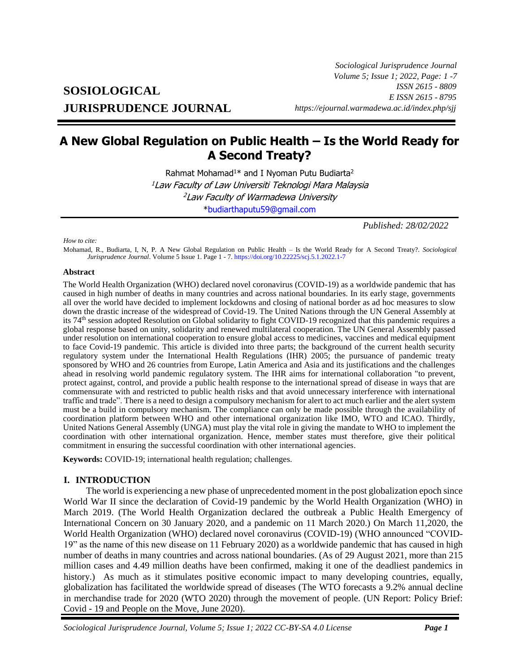# **SOSIOLOGICAL JURISPRUDENCE JOURNAL**

*Sociological Jurisprudence Journal Volume 5; Issue 1; 2022, Page: 1 -7 ISSN 2615 - 8809 E ISSN 2615 - 8795 https://ejournal.warmadewa.ac.id/index.php/sjj*

# **A New Global Regulation on Public Health – Is the World Ready for A Second Treaty?**

Rahmat Mohamad<sup>1\*</sup> and I Nyoman Putu Budiarta<sup>2</sup> <sup>1</sup> Law Faculty of Law Universiti Teknologi Mara Malaysia <sup>2</sup> Law Faculty of Warmadewa University [\\*budiarthaputu59@gmail.com](mailto:budiarthaputu59@gmail.com)

*Published: 28/02/2022*

#### *How to cite:*

Mohamad, R., Budiarta, I, N, P*.* A New Global Regulation on Public Health – Is the World Ready for A Second Treaty?. *Sociological Jurisprudence Journal*. Volume 5 Issue 1. Page 1 - 7.<https://doi.org/10.22225/scj.5.1.2022.1-7>

#### **Abstract**

The World Health Organization (WHO) declared novel coronavirus (COVID-19) as a worldwide pandemic that has caused in high number of deaths in many countries and across national boundaries. In its early stage, governments all over the world have decided to implement lockdowns and closing of national border as ad hoc measures to slow down the drastic increase of the widespread of Covid-19. The United Nations through the UN General Assembly at its 74th session adopted Resolution on Global solidarity to fight COVID-19 recognized that this pandemic requires a global response based on unity, solidarity and renewed multilateral cooperation. The UN General Assembly passed under resolution on international cooperation to ensure global access to medicines, vaccines and medical equipment to face Covid-19 pandemic. This article is divided into three parts; the background of the current health security regulatory system under the International Health Regulations (IHR) 2005; the pursuance of pandemic treaty sponsored by WHO and 26 countries from Europe, Latin America and Asia and its justifications and the challenges ahead in resolving world pandemic regulatory system. The IHR aims for international collaboration "to prevent, protect against, control, and provide a public health response to the international spread of disease in ways that are commensurate with and restricted to public health risks and that avoid unnecessary interference with international traffic and trade". There is a need to design a compulsory mechanism for alert to act much earlier and the alert system must be a build in compulsory mechanism. The compliance can only be made possible through the availability of coordination platform between WHO and other international organization like IMO, WTO and ICAO. Thirdly, United Nations General Assembly (UNGA) must play the vital role in giving the mandate to WHO to implement the coordination with other international organization. Hence, member states must therefore, give their political commitment in ensuring the successful coordination with other international agencies.

**Keywords:** COVID-19; international health regulation; challenges.

### **I. INTRODUCTION**

The world is experiencing a new phase of unprecedented moment in the post globalization epoch since World War II since the declaration of Covid-19 pandemic by the World Health Organization (WHO) in March 2019. (The World Health Organization declared the outbreak a Public Health Emergency of International Concern on 30 January 2020, and a pandemic on 11 March 2020.) On March 11,2020, the World Health Organization (WHO) declared novel coronavirus (COVID-19) (WHO announced "COVID-19" as the name of this new disease on 11 February 2020) as a worldwide pandemic that has caused in high number of deaths in many countries and across national boundaries. (As of 29 August 2021, more than 215 million cases and 4.49 million deaths have been confirmed, making it one of the deadliest pandemics in history.) As much as it stimulates positive economic impact to many developing countries, equally, globalization has facilitated the worldwide spread of diseases (The WTO forecasts a 9.2% annual decline in merchandise trade for 2020 (WTO 2020) through the movement of people. (UN Report: Policy Brief: Covid - 19 and People on the Move, June 2020).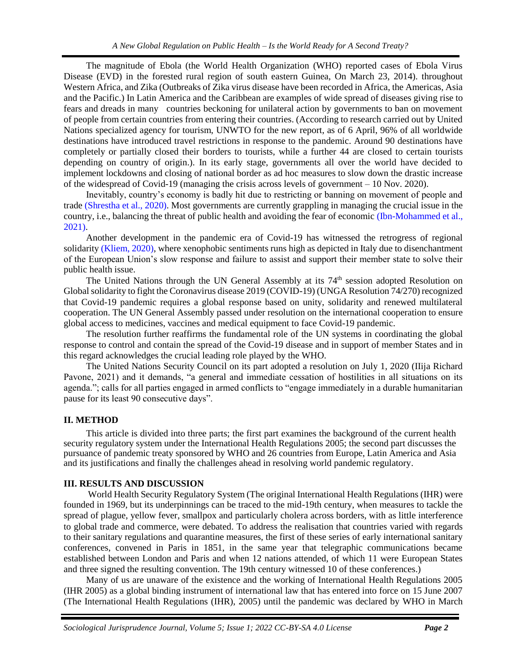The magnitude of Ebola (the World Health Organization (WHO) reported cases of Ebola Virus Disease (EVD) in the forested rural region of south eastern Guinea, On March 23, 2014). throughout Western Africa, and Zika (Outbreaks of Zika virus disease have been recorded in Africa, the Americas, Asia and the Pacific.) In Latin America and the Caribbean are examples of wide spread of diseases giving rise to fears and dreads in many countries beckoning for unilateral action by governments to ban on movement of people from certain countries from entering their countries. (According to research carried out by United Nations specialized agency for tourism, UNWTO for the new report, as of 6 April, 96% of all worldwide destinations have introduced travel restrictions in response to the pandemic. Around 90 destinations have completely or partially closed their borders to tourists, while a further 44 are closed to certain tourists depending on country of origin.). In its early stage, governments all over the world have decided to implement lockdowns and closing of national border as ad hoc measures to slow down the drastic increase of the widespread of Covid-19 (managing the crisis across levels of government – 10 Nov. 2020).

Inevitably, country's economy is badly hit due to restricting or banning on movement of people and trade [\(Shrestha et al., 2020\).](#page-6-0) Most governments are currently grappling in managing the crucial issue in the country, i.e., balancing the threat of public health and avoiding the fear of economic [\(Ibn-Mohammed et al.,](#page-6-0)  2021).

<span id="page-1-0"></span>Another development in the pandemic era of Covid-19 has witnessed the retrogress of regional solidarity [\(Kliem, 2020\),](#page-1-0) where xenophobic sentiments runs high as depicted in Italy due to disenchantment of the European Union's slow response and failure to assist and support their member state to solve their public health issue.

The United Nations through the UN General Assembly at its 74<sup>th</sup> session adopted Resolution on Global solidarity to fight the Coronavirus disease 2019 (COVID-19) (UNGA Resolution 74/270) recognized that Covid-19 pandemic requires a global response based on unity, solidarity and renewed multilateral cooperation. The UN General Assembly passed under resolution on the international cooperation to ensure global access to medicines, vaccines and medical equipment to face Covid-19 pandemic.

The resolution further reaffirms the fundamental role of the UN systems in coordinating the global response to control and contain the spread of the Covid-19 disease and in support of member States and in this regard acknowledges the crucial leading role played by the WHO.

The United Nations Security Council on its part adopted a resolution on July 1, 2020 (IIija Richard Pavone, 2021) and it demands, "a general and immediate cessation of hostilities in all situations on its agenda."; calls for all parties engaged in armed conflicts to "engage immediately in a durable humanitarian pause for its least 90 consecutive days".

### **II. METHOD**

This article is divided into three parts; the first part examines the background of the current health security regulatory system under the International Health Regulations 2005; the second part discusses the pursuance of pandemic treaty sponsored by WHO and 26 countries from Europe, Latin America and Asia and its justifications and finally the challenges ahead in resolving world pandemic regulatory.

### **III. RESULTS AND DISCUSSION**

World Health Security Regulatory System (The original International Health Regulations (IHR) were founded in 1969, but its underpinnings can be traced to the mid-19th century, when measures to tackle the spread of plague, yellow fever, smallpox and particularly cholera across borders, with as little interference to global trade and commerce, were debated. To address the realisation that countries varied with regards to their sanitary regulations and quarantine measures, the first of these series of early international sanitary conferences, convened in Paris in 1851, in the same year that telegraphic communications became established between London and Paris and when 12 nations attended, of which 11 were European States and three signed the resulting convention. The 19th century witnessed 10 of these conferences.)

Many of us are unaware of the existence and the working of International Health Regulations 2005 (IHR 2005) as a global binding instrument of international law that has entered into force on 15 June 2007 (The International Health Regulations (IHR), 2005) until the pandemic was declared by WHO in March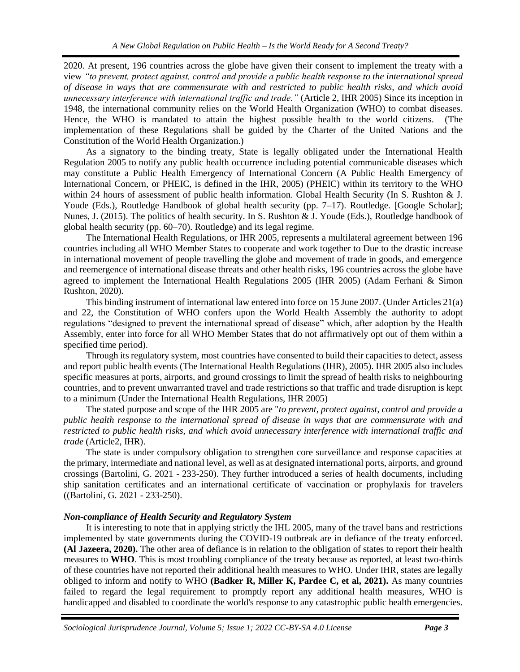2020. At present, 196 countries across the globe have given their consent to implement the treaty with a view *"to prevent, protect against, control and provide a public health response to the international spread of disease in ways that are commensurate with and restricted to public health risks, and which avoid unnecessary interference with international traffic and trade."* (Article 2, IHR 2005) Since its inception in 1948, the international community relies on the World Health Organization (WHO) to combat diseases. Hence, the WHO is mandated to attain the highest possible health to the world citizens. (The implementation of these Regulations shall be guided by the Charter of the United Nations and the Constitution of the World Health Organization.)

As a signatory to the binding treaty, State is legally obligated under the International Health Regulation 2005 to notify any public health occurrence including potential communicable diseases which may constitute a Public Health Emergency of International Concern (A Public Health Emergency of International Concern, or PHEIC, is defined in the IHR, 2005) (PHEIC) within its territory to the WHO within 24 hours of assessment of public health information. Global Health Security (In S. Rushton & J. Youde (Eds.), Routledge Handbook of global health security (pp. 7–17). Routledge. [Google Scholar]; Nunes, J. (2015). The politics of health security. In S. Rushton & J. Youde (Eds.), Routledge handbook of global health security (pp. 60–70). Routledge) and its legal regime.

The International Health Regulations, or IHR 2005, represents a multilateral agreement between 196 countries including all WHO Member States to cooperate and work together to Due to the drastic increase in international movement of people travelling the globe and movement of trade in goods, and emergence and reemergence of international disease threats and other health risks, 196 countries across the globe have agreed to implement the International Health Regulations 2005 (IHR 2005) (Adam Ferhani & Simon Rushton, 2020).

This binding instrument of international law entered into force on 15 June 2007. (Under Articles 21(a) and 22, the Constitution of WHO confers upon the World Health Assembly the authority to adopt regulations "designed to prevent the international spread of disease" which, after adoption by the Health Assembly, enter into force for all WHO Member States that do not affirmatively opt out of them within a specified time period).

Through its regulatory system, most countries have consented to build their capacities to detect, assess and report public health events (The International Health Regulations (IHR), 2005). IHR 2005 also includes specific measures at ports, airports, and ground crossings to limit the spread of health risks to neighbouring countries, and to prevent unwarranted travel and trade restrictions so that traffic and trade disruption is kept to a minimum (Under the International Health Regulations, IHR 2005)

The stated purpose and scope of the IHR 2005 are "*to prevent, protect against, control and provide a public health response to the international spread of disease in ways that are commensurate with and restricted to public health risks, and which avoid unnecessary interference with international traffic and trade* (Article2, IHR).

The state is under compulsory obligation to strengthen core surveillance and response capacities at the primary, intermediate and national level, as well as at designated international ports, airports, and ground crossings (Bartolini, G. 2021 - 233-250). They further introduced a series of health documents, including ship sanitation certificates and an international certificate of vaccination or prophylaxis for travelers ((Bartolini, G. 2021 - 233-250).

### *Non-compliance of Health Security and Regulatory System*

It is interesting to note that in applying strictly the IHL 2005, many of the travel bans and restrictions implemented by state governments during the COVID-19 outbreak are in defiance of the treaty enforced. **(Al Jazeera, 2020).** The other area of defiance is in relation to the obligation of states to report their health measures to **WHO**. This is most troubling compliance of the treaty because as reported, at least two-thirds of these countries have not reported their additional health measures to WHO. Under IHR, states are legally obliged to inform and notify to WHO **(Badker R, Miller K, Pardee C, et al, 2021).** As many countries failed to regard the legal requirement to promptly report any additional health measures, WHO is handicapped and disabled to coordinate the world's response to any catastrophic public health emergencies.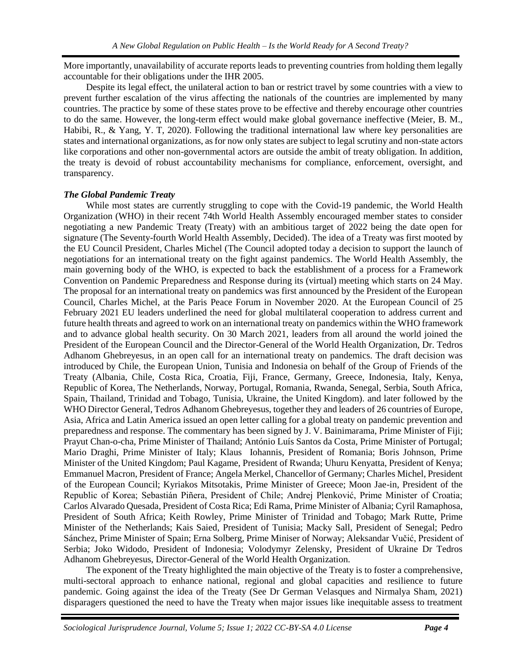More importantly, unavailability of accurate reports leads to preventing countries from holding them legally accountable for their obligations under the IHR 2005.

Despite its legal effect, the unilateral action to ban or restrict travel by some countries with a view to prevent further escalation of the virus affecting the nationals of the countries are implemented by many countries. The practice by some of these states prove to be effective and thereby encourage other countries to do the same. However, the long-term effect would make global governance ineffective (Meier, B. M., Habibi, R., & Yang, Y. T, 2020). Following the traditional international law where key personalities are states and international organizations, as for now only states are subject to legal scrutiny and non-state actors like corporations and other non-governmental actors are outside the ambit of treaty obligation. In addition, the treaty is devoid of robust accountability mechanisms for compliance, enforcement, oversight, and transparency.

## *The Global Pandemic Treaty*

While most states are currently struggling to cope with the Covid-19 pandemic, the World Health Organization (WHO) in their recent 74th World Health Assembly encouraged member states to consider negotiating a new Pandemic Treaty (Treaty) with an ambitious target of 2022 being the date open for signature (The Seventy-fourth World Health Assembly, Decided). The idea of a Treaty was first mooted by the EU Council President, Charles Michel (The Council adopted today a decision to support the launch of negotiations for an international treaty on the fight against pandemics. The World Health Assembly, the main governing body of the WHO, is expected to back the establishment of a process for a Framework Convention on Pandemic Preparedness and Response during its (virtual) meeting which starts on 24 May. The proposal for an international treaty on pandemics was first announced by the President of the European Council, Charles Michel, at the Paris Peace Forum in November 2020. At the European Council of 25 February 2021 EU leaders underlined the need for global multilateral cooperation to address current and future health threats and agreed to work on an international treaty on pandemics within the WHO framework and to advance global health security. On 30 March 2021, leaders from all around the world joined the President of the European Council and the Director-General of the World Health Organization, Dr. Tedros Adhanom Ghebreyesus, in an open call for an international treaty on pandemics. The draft decision was introduced by Chile, the European Union, Tunisia and Indonesia on behalf of the Group of Friends of the Treaty (Albania, Chile, Costa Rica, Croatia, Fiji, France, Germany, Greece, Indonesia, Italy, Kenya, Republic of Korea, The Netherlands, Norway, Portugal, Romania, Rwanda, Senegal, Serbia, South Africa, Spain, Thailand, Trinidad and Tobago, Tunisia, Ukraine, the United Kingdom). and later followed by the WHO Director General, Tedros Adhanom Ghebreyesus, together they and leaders of 26 countries of Europe, Asia, Africa and Latin America issued an open letter calling for a global treaty on pandemic prevention and preparedness and response. The commentary has been signed by J. V. Bainimarama, Prime Minister of Fiji; Prayut Chan-o-cha, Prime Minister of Thailand; António Luís Santos da Costa, Prime Minister of Portugal; Mario Draghi, Prime Minister of Italy; Klaus Iohannis, President of Romania; Boris Johnson, Prime Minister of the United Kingdom; Paul Kagame, President of Rwanda; Uhuru Kenyatta, President of Kenya; Emmanuel Macron, President of France; Angela Merkel, Chancellor of Germany; Charles Michel, President of the European Council; Kyriakos Mitsotakis, Prime Minister of Greece; Moon Jae-in, President of the Republic of Korea; Sebastián Piñera, President of Chile; Andrej Plenković, Prime Minister of Croatia; Carlos Alvarado Quesada, President of Costa Rica; Edi Rama, Prime Minister of Albania; Cyril Ramaphosa, President of South Africa; Keith Rowley, Prime Minister of Trinidad and Tobago; Mark Rutte, Prime Minister of the Netherlands; Kais Saied, President of Tunisia; Macky Sall, President of Senegal; Pedro Sánchez, Prime Minister of Spain; Erna Solberg, Prime Miniser of Norway; Aleksandar Vučić, President of Serbia; Joko Widodo, President of Indonesia; Volodymyr Zelensky, President of Ukraine Dr Tedros Adhanom Ghebreyesus, Director-General of the World Health Organization.

The exponent of the Treaty highlighted the main objective of the Treaty is to foster a comprehensive, multi-sectoral approach to enhance national, regional and global capacities and resilience to future pandemic. Going against the idea of the Treaty (See Dr German Velasques and Nirmalya Sham, 2021) disparagers questioned the need to have the Treaty when major issues like inequitable assess to treatment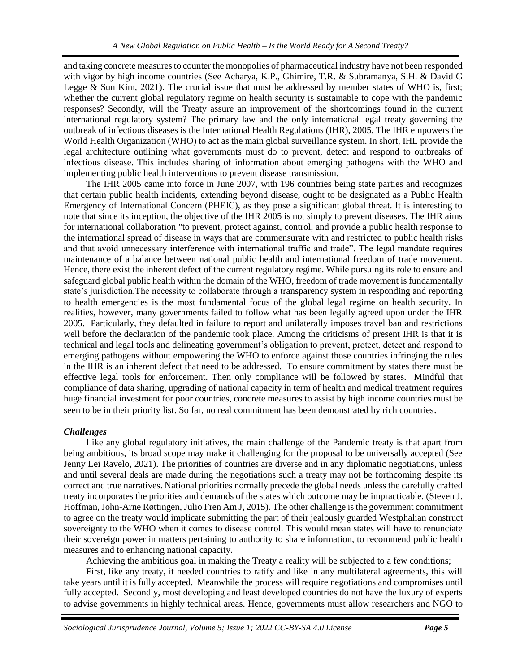and taking concrete measures to counter the monopolies of pharmaceutical industry have not been responded with vigor by high income countries (See Acharya, K.P., Ghimire, T.R. & Subramanya, S.H. & David G Legge & Sun Kim, 2021). The crucial issue that must be addressed by member states of WHO is, first; whether the current global regulatory regime on health security is sustainable to cope with the pandemic responses? Secondly, will the Treaty assure an improvement of the shortcomings found in the current international regulatory system? The primary law and the only international legal treaty governing the outbreak of infectious diseases is the International Health Regulations (IHR), 2005. The IHR empowers the World Health Organization (WHO) to act as the main global surveillance system. In short, IHL provide the legal architecture outlining what governments must do to prevent, detect and respond to outbreaks of infectious disease. This includes sharing of information about emerging pathogens with the WHO and implementing public health interventions to prevent disease transmission.

The IHR 2005 came into force in June 2007, with 196 countries being state parties and recognizes that certain public health incidents, extending beyond disease, ought to be designated as a Public Health Emergency of International Concern (PHEIC), as they pose a significant global threat. It is interesting to note that since its inception, the objective of the IHR 2005 is not simply to prevent diseases. The IHR aims for international collaboration "to prevent, protect against, control, and provide a public health response to the international spread of disease in ways that are commensurate with and restricted to public health risks and that avoid unnecessary interference with international traffic and trade". The legal mandate requires maintenance of a balance between national public health and international freedom of trade movement. Hence, there exist the inherent defect of the current regulatory regime. While pursuing its role to ensure and safeguard global public health within the domain of the WHO, freedom of trade movement is fundamentally state's jurisdiction.The necessity to collaborate through a transparency system in responding and reporting to health emergencies is the most fundamental focus of the global legal regime on health security. In realities, however, many governments failed to follow what has been legally agreed upon under the IHR 2005. Particularly, they defaulted in failure to report and unilaterally imposes travel ban and restrictions well before the declaration of the pandemic took place. Among the criticisms of present IHR is that it is technical and legal tools and delineating government's obligation to prevent, protect, detect and respond to emerging pathogens without empowering the WHO to enforce against those countries infringing the rules in the IHR is an inherent defect that need to be addressed. To ensure commitment by states there must be effective legal tools for enforcement. Then only compliance will be followed by states. Mindful that compliance of data sharing, upgrading of national capacity in term of health and medical treatment requires huge financial investment for poor countries, concrete measures to assist by high income countries must be seen to be in their priority list. So far, no real commitment has been demonstrated by rich countries.

## *Challenges*

Like any global regulatory initiatives, the main challenge of the Pandemic treaty is that apart from being ambitious, its broad scope may make it challenging for the proposal to be universally accepted (See Jenny Lei Ravelo, 2021). The priorities of countries are diverse and in any diplomatic negotiations, unless and until several deals are made during the negotiations such a treaty may not be forthcoming despite its correct and true narratives. National priorities normally precede the global needs unless the carefully crafted treaty incorporates the priorities and demands of the states which outcome may be impracticable. (Steven J. Hoffman, John-Arne Røttingen, Julio Fren Am J, 2015). The other challenge is the government commitment to agree on the treaty would implicate submitting the part of their jealously guarded Westphalian construct sovereignty to the WHO when it comes to disease control. This would mean states will have to renunciate their sovereign power in matters pertaining to authority to share information, to recommend public health measures and to enhancing national capacity.

Achieving the ambitious goal in making the Treaty a reality will be subjected to a few conditions;

First, like any treaty, it needed countries to ratify and like in any multilateral agreements, this will take years until it is fully accepted. Meanwhile the process will require negotiations and compromises until fully accepted. Secondly, most developing and least developed countries do not have the luxury of experts to advise governments in highly technical areas. Hence, governments must allow researchers and NGO to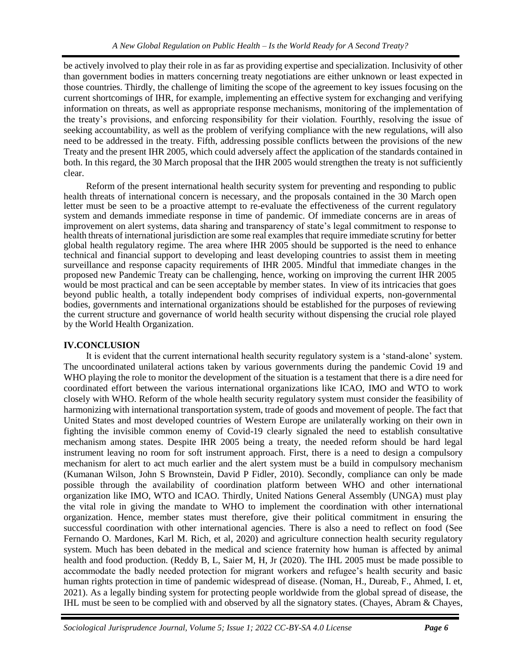be actively involved to play their role in as far as providing expertise and specialization. Inclusivity of other than government bodies in matters concerning treaty negotiations are either unknown or least expected in those countries. Thirdly, the challenge of limiting the scope of the agreement to key issues focusing on the current shortcomings of IHR, for example, implementing an effective system for exchanging and verifying information on threats, as well as appropriate response mechanisms, monitoring of the implementation of the treaty's provisions, and enforcing responsibility for their violation. Fourthly, resolving the issue of seeking accountability, as well as the problem of verifying compliance with the new regulations, will also need to be addressed in the treaty. Fifth, addressing possible conflicts between the provisions of the new Treaty and the present IHR 2005, which could adversely affect the application of the standards contained in both. In this regard, the 30 March proposal that the IHR 2005 would strengthen the treaty is not sufficiently clear.

Reform of the present international health security system for preventing and responding to public health threats of international concern is necessary, and the proposals contained in the 30 March open letter must be seen to be a proactive attempt to re-evaluate the effectiveness of the current regulatory system and demands immediate response in time of pandemic. Of immediate concerns are in areas of improvement on alert systems, data sharing and transparency of state's legal commitment to response to health threats of international jurisdiction are some real examples that require immediate scrutiny for better global health regulatory regime. The area where IHR 2005 should be supported is the need to enhance technical and financial support to developing and least developing countries to assist them in meeting surveillance and response capacity requirements of IHR 2005. Mindful that immediate changes in the proposed new Pandemic Treaty can be challenging, hence, working on improving the current IHR 2005 would be most practical and can be seen acceptable by member states. In view of its intricacies that goes beyond public health, a totally independent body comprises of individual experts, non-governmental bodies, governments and international organizations should be established for the purposes of reviewing the current structure and governance of world health security without dispensing the crucial role played by the World Health Organization.

## **IV.CONCLUSION**

It is evident that the current international health security regulatory system is a 'stand-alone' system. The uncoordinated unilateral actions taken by various governments during the pandemic Covid 19 and WHO playing the role to monitor the development of the situation is a testament that there is a dire need for coordinated effort between the various international organizations like ICAO, IMO and WTO to work closely with WHO. Reform of the whole health security regulatory system must consider the feasibility of harmonizing with international transportation system, trade of goods and movement of people. The fact that United States and most developed countries of Western Europe are unilaterally working on their own in fighting the invisible common enemy of Covid-19 clearly signaled the need to establish consultative mechanism among states. Despite IHR 2005 being a treaty, the needed reform should be hard legal instrument leaving no room for soft instrument approach. First, there is a need to design a compulsory mechanism for alert to act much earlier and the alert system must be a build in compulsory mechanism (Kumanan Wilson, John S Brownstein, David P Fidler, 2010). Secondly, compliance can only be made possible through the availability of coordination platform between WHO and other international organization like IMO, WTO and ICAO. Thirdly, United Nations General Assembly (UNGA) must play the vital role in giving the mandate to WHO to implement the coordination with other international organization. Hence, member states must therefore, give their political commitment in ensuring the successful coordination with other international agencies. There is also a need to reflect on food (See Fernando O. Mardones, Karl M. Rich, et al, 2020) and agriculture connection health security regulatory system. Much has been debated in the medical and science fraternity how human is affected by animal health and food production. (Reddy B, L, Saier M, H, Jr (2020). The IHL 2005 must be made possible to accommodate the badly needed protection for migrant workers and refugee's health security and basic human rights protection in time of pandemic widespread of disease. (Noman, H., Dureab, F., Ahmed, I. et, 2021). As a legally binding system for protecting people worldwide from the global spread of disease, the IHL must be seen to be complied with and observed by all the signatory states. (Chayes, Abram & Chayes,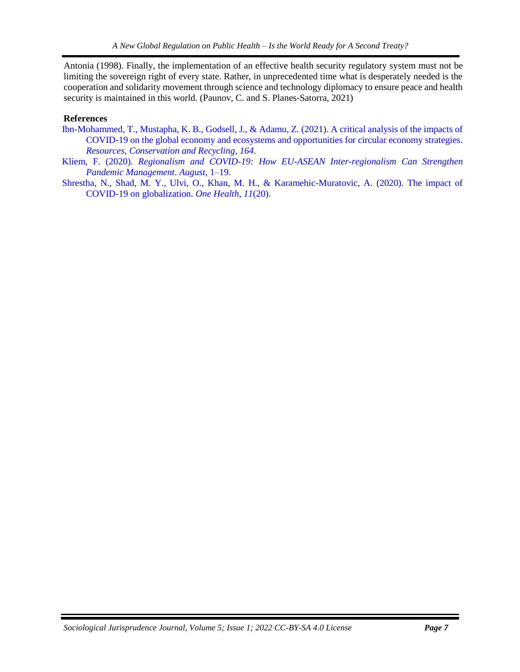Antonia (1998). Finally, the implementation of an effective health security regulatory system must not be limiting the sovereign right of every state. Rather, in unprecedented time what is desperately needed is the cooperation and solidarity movement through science and technology diplomacy to ensure peace and health security is maintained in this world. (Paunov, C. and S. Planes-Satorra, 2021)

## <span id="page-6-0"></span>**References**

- [Ibn-Mohammed, T., Mustapha, K. B., Godsell, J., & Adamu, Z. \(2021\). A critical analysis of the impacts of](https://www.sciencedirect.com/science/article/pii/S0921344920304869?via%3Dihub)  [COVID-19 on the global economy and ecosystems and opportunities for circular economy strategies.](https://www.sciencedirect.com/science/article/pii/S0921344920304869?via%3Dihub)  *[Resources, Conservation and Recycling](https://www.sciencedirect.com/science/article/pii/S0921344920304869?via%3Dihub)*, *164*.
- Kliem, F. (2020). *[Regionalism and COVID-19: How EU-ASEAN Inter-regionalism Can Strengthen](https://www.rsis.edu.sg/rsis-publication/cms/regionalism-and-covid-19-how-eu-asean-inter-regionalism-can-strengthen-pandemic-management/#.YhxhW-hBzIU)  [Pandemic Management](https://www.rsis.edu.sg/rsis-publication/cms/regionalism-and-covid-19-how-eu-asean-inter-regionalism-can-strengthen-pandemic-management/#.YhxhW-hBzIU)*. *August*, 1–19.
- [Shrestha, N., Shad, M. Y., Ulvi, O., Khan, M. H., & Karamehic-Muratovic, A. \(2020\). The impact of](https://www.ncbi.nlm.nih.gov/pmc/articles/PMC7553059/)  [COVID-19 on globalization.](https://www.ncbi.nlm.nih.gov/pmc/articles/PMC7553059/) *One Health*, *11*(20).